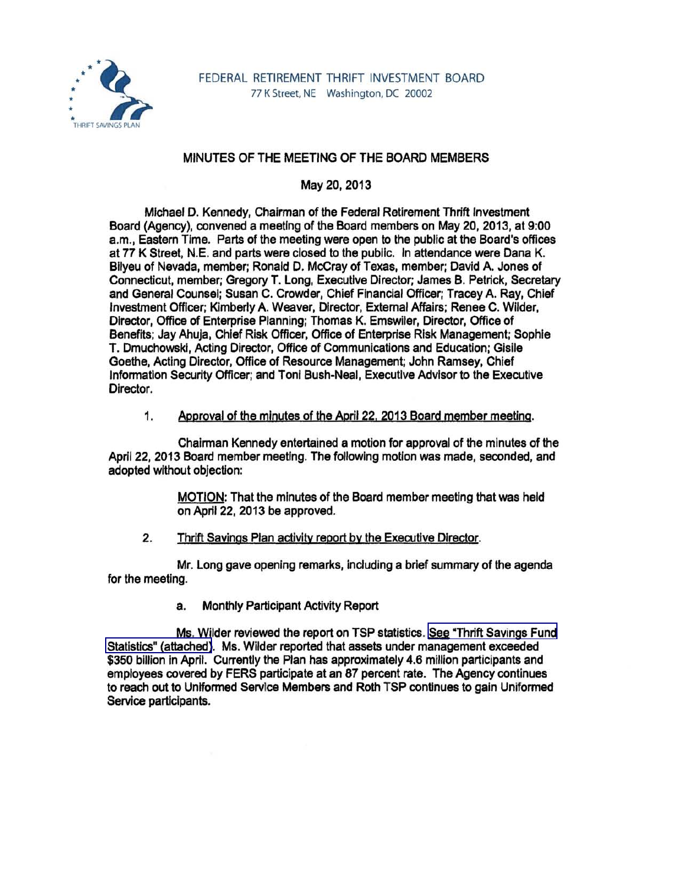

# MINUTES OF THE MEETING OF THE BOARD MEMBERS

May 20,2013

Michael D. Kennedy, Chairman of the Federal Retirement Thrift Investment Board (Agency), convened a meeting of the Board members on May 20,2013, at 9:00 a.m., Eastern Time. Parts of the meeting were open to the public at the Board's offices at 77 K Street, N.E. and parts were closed to the public. In attendance were Dana K. Bilyeu of Nevada, member; Ronald D. McCray of Texas, member; David A. Jones of Connecticut, member; Gregory T. Long, Executive Director; James B. Petrick, Secretary and General Counsel; Susan C. Crowder, Chief Financial Officer; Tracey A. Ray, Chief Investment Officer; Kimberly A. Weaver, Director, External Affairs; Renee C. Wilder, Director, Office of Enterprise Planning; Thomas K. Emswiler, Director, Office of Benefits; Jay Ahuja, Chief Risk Officer, Office of Enterprise Risk Management; Sophie T. Dmuchowskl, Acting Director, Office of Communications and Education; Glsile Goethe, Acting Director, Office of Resource Management; John Ramsey, Chief Infonnatlon Security Officer; and Toni Bush-Neal, Executive Advisor to the Executive Director.

# 1. Approval of the minutes of the April 22. 2013 Board member meeting.

Chairman Kennedy entertained a motion for approval of the minutes of the April 22, 2013 Board member meeting. The following motion was made, seconded, and adopted without objection:

> MOTION: That the minutes of the Board member meeting that was held on April 22, 2013 be approved.

#### 2. Thrift Savings Plan activity report by the Executive Director.

Mr. Long gave opening remarks, including a brief summary of the agenda for the meeting.

a. Monthly Participant Activity Report

Ms. Wilder reviewed the report on TSP statistics. See "Thrift Savings Fund [Statistics" \(attached\).](http://www.frtib.gov/pdf/minutes/MM-2013May-Att1.pdf) Ms. Wilder reported that assets under management exceeded \$350 billion in April. Currently the Plan has approximately 4.6 million participants and employees covered by FERS participate at an 87 percent rate. The Agency continues to reach out to Unlfonned Service Members and Roth TSP continues to gain Uniformed Service participants.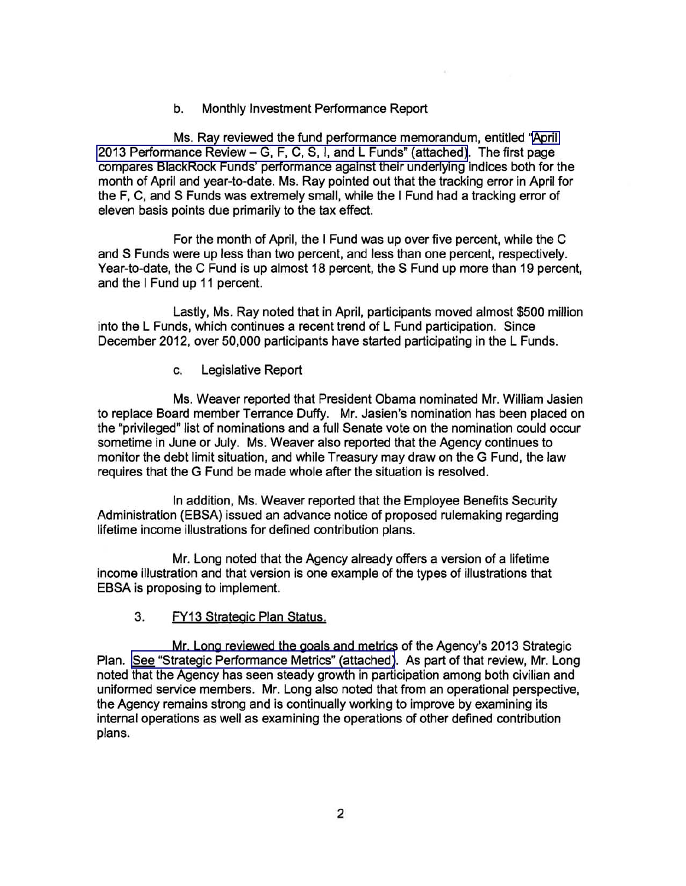b. Monthly Investment Performance Report

Ms. Ray reviewed the fund performance memorandum, entitled "[April](http://www.frtib.gov/pdf/minutes/MM-2013May-Att2.pdf)  2013 Performance Review - [G, F, C, S, I, and L Funds" \(attached\).](http://www.frtib.gov/pdf/minutes/MM-2013May-Att2.pdf) The first page compares BlackRock Funds' performance against their underlying indices both for the month of April and year-to-date. Ms. Ray pointed out that the tracking error in April for the F, C, and S Funds was extremely small, while the I Fund had a tracking error of eleven basis points due primarily to the tax effect.

For the month of April, the I Fund was up over five percent, while the C and S Funds were up less than two percent, and less than one percent, respectively. Year-to-date, the C Fund is up almost 18 percent, the S Fund up more than 19 percent, and the I Fund up 11 percent.

Lastly, Ms. Ray noted that in April, participants moved almost \$500 million into the L Funds, which continues a recent trend of L Fund participation. Since December 2012, over 50,000 participants have started participating in the L Funds.

c. Legislative Report

Ms. Weaver reported that President Obama nominated Mr. William Jasien to replace Board member Terrance Duffy. Mr. Jasien's nomination has been placed on the "privileged" list of nominations and a full Senate vote on the nomination could occur sometime in June or July. Ms. Weaver also reported that the Agency continues to monitor the debt limit situation, and while Treasury may draw on the G Fund, the law requires that the G Fund be made whole after the situation is resolved.

In addition, Ms. Weaver reported that the Employee Benefits Security Administration (EBSA) issued an advance notice of proposed rulemaking regarding lifetime income illustrations for defined contribution plans.

Mr. Long noted that the Agency already offers a version of a lifetime income illustration and that version is one example of the types of illustrations that EBSA is proposing to implement.

3. FY13 Strategic Plan Status.

Mr. Long reviewed the goals and metrics of the Agency's 2013 Strategic Plan. [See "Strategic Performance Metrics" \(attached\)](http://www.frtib.gov/pdf/minutes/MM-2013May-Att3.pdf). As part of that review, Mr. Long noted that the Agency has seen steady growth in participation among both civilian and uniformed service members. Mr. Long also noted that from an operational perspective, the Agency remains strong and is continually working to improve by examining its internal operations as well as examining the operations of other defined contribution plans.